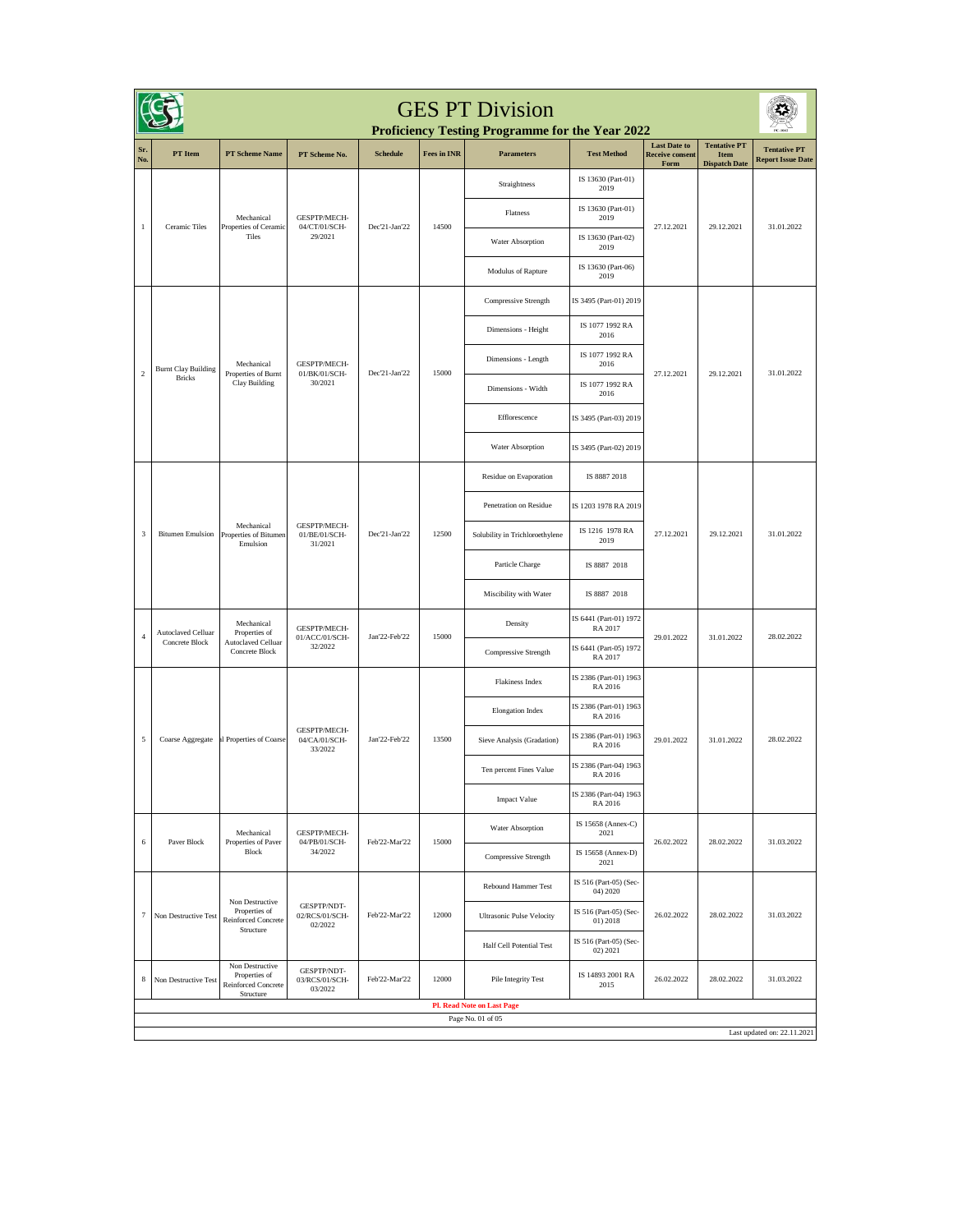| <b>GES PT Division</b><br>Proficiency Testing Programme for the Year 2022 |                                                  |                                                                      |                                          |                 |                    |                                   |                                    |                                                       |                                                     |                                                 |  |
|---------------------------------------------------------------------------|--------------------------------------------------|----------------------------------------------------------------------|------------------------------------------|-----------------|--------------------|-----------------------------------|------------------------------------|-------------------------------------------------------|-----------------------------------------------------|-------------------------------------------------|--|
| Sr.<br>No.                                                                | PT Item                                          | <b>PT Scheme Name</b>                                                | PT Scheme No.                            | <b>Schedule</b> | <b>Fees in INR</b> | <b>Parameters</b>                 | <b>Test Method</b>                 | <b>Last Date to</b><br><b>Receive consent</b><br>Form | <b>Tentative PT</b><br>Item<br><b>Dispatch Date</b> | <b>Tentative PT</b><br><b>Report Issue Date</b> |  |
|                                                                           |                                                  |                                                                      |                                          |                 |                    | Straightness                      | IS 13630 (Part-01)<br>2019         |                                                       |                                                     | 31.01.2022                                      |  |
|                                                                           | Ceramic Tiles                                    | Mechanical<br>Properties of Ceramic<br>Tiles                         | GESPTP/MECH-<br>04/CT/01/SCH-<br>29/2021 | Dec'21-Jan'22   | 14500              | Flatness                          | IS 13630 (Part-01)<br>2019         | 27.12.2021                                            | 29.12.2021                                          |                                                 |  |
| $\,1\,$                                                                   |                                                  |                                                                      |                                          |                 |                    | Water Absorption                  | IS 13630 (Part-02)<br>2019         |                                                       |                                                     |                                                 |  |
|                                                                           |                                                  |                                                                      |                                          |                 |                    | Modulus of Rapture                | IS 13630 (Part-06)<br>2019         |                                                       |                                                     |                                                 |  |
|                                                                           |                                                  |                                                                      |                                          |                 |                    | Compressive Strength              | IS 3495 (Part-01) 2019             |                                                       |                                                     |                                                 |  |
|                                                                           |                                                  |                                                                      |                                          |                 |                    | Dimensions - Height               | IS 1077 1992 RA<br>2016            |                                                       |                                                     |                                                 |  |
|                                                                           | <b>Burnt Clay Building</b>                       | Mechanical                                                           | GESPTP/MECH-                             |                 |                    | Dimensions - Length               | IS 1077 1992 RA<br>2016            |                                                       |                                                     |                                                 |  |
| $\sqrt{2}$                                                                | <b>Bricks</b>                                    | Properties of Burnt<br>Clay Building                                 | 01/BK/01/SCH-<br>30/2021                 | Dec'21-Jan'22   | 15000              | Dimensions - Width                | IS 1077 1992 RA<br>2016            | 27.12.2021                                            | 29.12.2021                                          | 31.01.2022                                      |  |
|                                                                           |                                                  |                                                                      |                                          |                 |                    | Efflorescence                     | IS 3495 (Part-03) 2019             |                                                       |                                                     |                                                 |  |
|                                                                           |                                                  |                                                                      |                                          |                 |                    | Water Absorption                  | IS 3495 (Part-02) 2019             |                                                       |                                                     |                                                 |  |
|                                                                           |                                                  | Mechanical<br>Properties of Bitumen<br>Emulsion                      | GESPTP/MECH-<br>01/BE/01/SCH-<br>31/2021 | Dec'21-Jan'22   | 12500              | Residue on Evaporation            | IS 8887 2018                       | 27.12.2021                                            | 29.12.2021                                          | 31.01.2022                                      |  |
|                                                                           | <b>Bitumen Emulsion</b>                          |                                                                      |                                          |                 |                    | Penetration on Residue            | IS 1203 1978 RA 2019               |                                                       |                                                     |                                                 |  |
| $\sqrt{3}$                                                                |                                                  |                                                                      |                                          |                 |                    | Solubility in Trichloroethylene   | IS 1216 1978 RA<br>2019            |                                                       |                                                     |                                                 |  |
|                                                                           |                                                  |                                                                      |                                          |                 |                    | Particle Charge                   | IS 8887 2018                       |                                                       |                                                     |                                                 |  |
|                                                                           |                                                  |                                                                      |                                          |                 |                    | Miscibility with Water            | IS 8887 2018                       |                                                       |                                                     |                                                 |  |
| $\sqrt{4}$                                                                | Autoclaved Celluar                               | Mechanical<br>Properties of                                          | GESPTP/MECH-<br>01/ACC/01/SCH-           | Jan'22-Feb'22   | 15000              | Density                           | IS 6441 (Part-01) 1972<br>RA 2017  | 29.01.2022                                            | 31.01.2022                                          | 28.02.2022                                      |  |
|                                                                           | Concrete Block                                   | Autoclaved Celluar<br>Concrete Block                                 | 32/2022                                  |                 |                    | Compressive Strength              | IS 6441 (Part-05) 1972<br>RA 2017  |                                                       |                                                     |                                                 |  |
|                                                                           |                                                  |                                                                      | GESPTP/MECH-<br>04/CA/01/SCH-<br>33/2022 |                 | 13500              | Flakiness Index                   | IS 2386 (Part-01) 1963<br>RA 2016  |                                                       | 31.01.2022                                          | 28.02.2022                                      |  |
|                                                                           |                                                  | al Properties of Coarse                                              |                                          | Jan'22-Feb'22   |                    | <b>Elongation Index</b>           | IS 2386 (Part-01) 1963<br>RA 2016  | 29.01.2022                                            |                                                     |                                                 |  |
| $\sqrt{5}$                                                                | Coarse Aggregate                                 |                                                                      |                                          |                 |                    | Sieve Analysis (Gradation)        | IS 2386 (Part-01) 1963<br>RA 2016  |                                                       |                                                     |                                                 |  |
|                                                                           |                                                  |                                                                      |                                          |                 |                    | Ten percent Fines Value           | IS 2386 (Part-04) 1963<br>RA 2016  |                                                       |                                                     |                                                 |  |
|                                                                           |                                                  |                                                                      |                                          |                 |                    | <b>Impact Value</b>               | IS 2386 (Part-04) 1963<br>RA 2016  |                                                       |                                                     |                                                 |  |
| $\,$ 6 $\,$                                                               | Paver Block                                      | Mechanical<br>Properties of Paver<br>Block                           | GESPTP/MECH-<br>04/PB/01/SCH-<br>34/2022 | Feb'22-Mar'22   | 15000              | Water Absorption                  | IS 15658 (Annex-C)<br>2021         |                                                       | 28.02.2022                                          | 31.03.2022                                      |  |
|                                                                           |                                                  |                                                                      |                                          |                 |                    | Compressive Strength              | IS 15658 (Annex-D)<br>2021         | 26.02.2022                                            |                                                     |                                                 |  |
|                                                                           | Non Destructive Test                             | Non Destructive<br>Properties of<br>Reinforced Concrete<br>Structure | GESPTP/NDT-<br>02/RCS/01/SCH-<br>02/2022 | Feb'22-Mar'22   |                    | Rebound Hammer Test               | IS 516 (Part-05) (Sec-<br>04) 2020 |                                                       | 28.02.2022                                          | 31.03.2022                                      |  |
| $\tau$                                                                    |                                                  |                                                                      |                                          |                 | 12000              | <b>Ultrasonic Pulse Velocity</b>  | IS 516 (Part-05) (Sec-<br>01) 2018 | 26.02.2022                                            |                                                     |                                                 |  |
|                                                                           |                                                  |                                                                      |                                          |                 |                    | Half Cell Potential Test          | IS 516 (Part-05) (Sec-<br>02) 2021 |                                                       |                                                     |                                                 |  |
| 8                                                                         | Non Destructive Test                             | Non Destructive<br>Properties of<br>Reinforced Concrete<br>Structure | GESPTP/NDT-<br>03/RCS/01/SCH-<br>03/2022 | Feb'22-Mar'22   | 12000              | Pile Integrity Test               | IS 14893 2001 RA<br>2015           | 26.02.2022                                            | 28.02.2022                                          | 31.03.2022                                      |  |
|                                                                           |                                                  |                                                                      |                                          |                 |                    | <b>Pl. Read Note on Last Page</b> |                                    |                                                       |                                                     |                                                 |  |
|                                                                           | Page No. 01 of 05<br>Last updated on: 22.11.2021 |                                                                      |                                          |                 |                    |                                   |                                    |                                                       |                                                     |                                                 |  |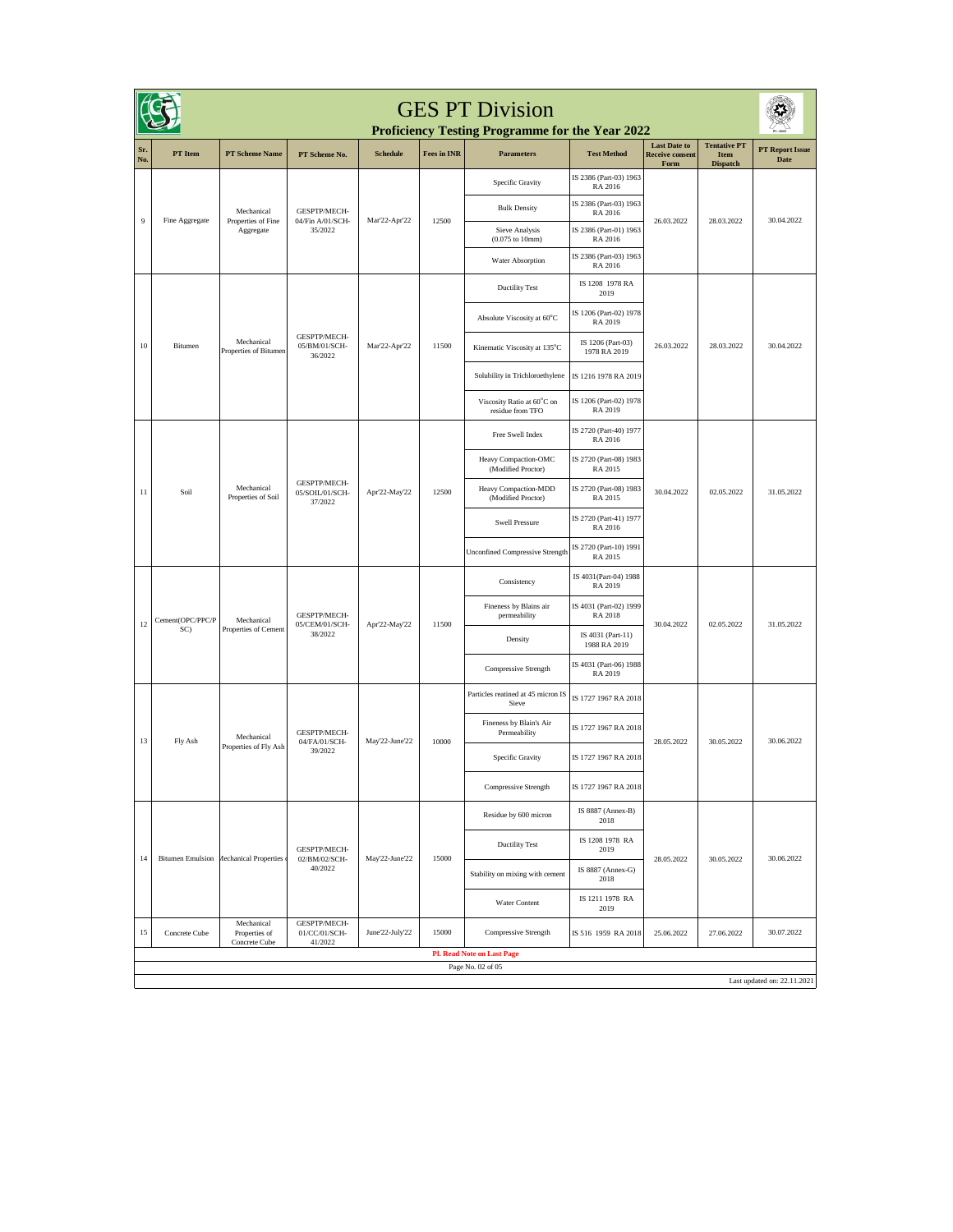| <b>GES PT Division</b><br><b>Proficiency Testing Programme for the Year 2022</b> |                                                  |                                                                                                                |                                            |                 |                                                      |                                                |                                   |                                                       |                                                |                                       |  |
|----------------------------------------------------------------------------------|--------------------------------------------------|----------------------------------------------------------------------------------------------------------------|--------------------------------------------|-----------------|------------------------------------------------------|------------------------------------------------|-----------------------------------|-------------------------------------------------------|------------------------------------------------|---------------------------------------|--|
| Sr.<br>No.                                                                       | PT Item                                          | <b>PT Scheme Name</b>                                                                                          | PT Scheme No.                              | <b>Schedule</b> | <b>Fees in INR</b>                                   | <b>Parameters</b>                              | <b>Test Method</b>                | <b>Last Date to</b><br><b>Receive consent</b><br>Form | <b>Tentative PT</b><br>Item<br><b>Dispatch</b> | <b>PT Report Issue</b><br><b>Date</b> |  |
|                                                                                  |                                                  |                                                                                                                |                                            |                 |                                                      | Specific Gravity                               | IS 2386 (Part-03) 1963<br>RA 2016 |                                                       |                                                |                                       |  |
|                                                                                  |                                                  | GESPTP/MECH-<br>Mechanical<br>Fine Aggregate<br>04/Fin A/01/SCH-<br>Properties of Fine<br>35/2022<br>Aggregate | Mar'22-Apr'22                              | 12500           | <b>Bulk Density</b>                                  | IS 2386 (Part-03) 1963<br>RA 2016              | 26.03.2022                        | 28.03.2022                                            | 30.04.2022                                     |                                       |  |
| $\overline{9}$                                                                   |                                                  |                                                                                                                |                                            |                 | Sieve Analysis<br>$(0.075 \text{ to } 10 \text{mm})$ | IS 2386 (Part-01) 1963<br>RA 2016              |                                   |                                                       |                                                |                                       |  |
|                                                                                  |                                                  |                                                                                                                |                                            |                 |                                                      | Water Absorption                               | IS 2386 (Part-03) 1963<br>RA 2016 |                                                       |                                                |                                       |  |
|                                                                                  |                                                  |                                                                                                                |                                            |                 |                                                      | <b>Ductility Test</b>                          | IS 1208 1978 RA<br>2019           |                                                       |                                                |                                       |  |
|                                                                                  |                                                  |                                                                                                                |                                            |                 |                                                      | Absolute Viscosity at 60°C                     | IS 1206 (Part-02) 1978<br>RA 2019 |                                                       |                                                |                                       |  |
| 10                                                                               | Bitumen                                          | Mechanical<br>Properties of Bitumen                                                                            | GESPTP/MECH-<br>05/BM/01/SCH-<br>36/2022   | Mar'22-Apr'22   | 11500                                                | Kinematic Viscosity at 135°C                   | IS 1206 (Part-03)<br>1978 RA 2019 | 26.03.2022                                            | 28.03.2022                                     | 30.04.2022                            |  |
|                                                                                  |                                                  |                                                                                                                |                                            |                 |                                                      | Solubility in Trichloroethylene                | IS 1216 1978 RA 2019              |                                                       |                                                |                                       |  |
|                                                                                  |                                                  |                                                                                                                |                                            |                 |                                                      | Viscosity Ratio at 60°C on<br>residue from TFO | IS 1206 (Part-02) 1978<br>RA 2019 |                                                       |                                                |                                       |  |
|                                                                                  |                                                  |                                                                                                                |                                            |                 |                                                      | Free Swell Index                               | IS 2720 (Part-40) 1977<br>RA 2016 |                                                       | 02.05.2022                                     | 31.05.2022                            |  |
|                                                                                  | Soil                                             | Mechanical<br>Properties of Soil                                                                               | GESPTP/MECH-<br>05/SOIL/01/SCH-<br>37/2022 | Apr'22-May'22   | 12500                                                | Heavy Compaction-OMC<br>(Modified Proctor)     | IS 2720 (Part-08) 1983<br>RA 2015 | 30.04.2022                                            |                                                |                                       |  |
| 11                                                                               |                                                  |                                                                                                                |                                            |                 |                                                      | Heavy Compaction-MDD<br>(Modified Proctor)     | IS 2720 (Part-08) 1983<br>RA 2015 |                                                       |                                                |                                       |  |
|                                                                                  |                                                  |                                                                                                                |                                            |                 |                                                      | <b>Swell Pressure</b>                          | IS 2720 (Part-41) 1977<br>RA 2016 |                                                       |                                                |                                       |  |
|                                                                                  |                                                  |                                                                                                                |                                            |                 |                                                      | <b>Unconfined Compressive Strength</b>         | IS 2720 (Part-10) 1991<br>RA 2015 |                                                       |                                                |                                       |  |
|                                                                                  | Cement(OPC/PPC/P<br>SC)                          | Mechanical<br>Properties of Cement                                                                             | GESPTP/MECH-<br>05/CEM/01/SCH-<br>38/2022  | Apr'22-May'22   | 11500                                                | Consistency                                    | IS 4031(Part-04) 1988<br>RA 2019  |                                                       | 02.05.2022                                     | 31.05.2022                            |  |
| 12                                                                               |                                                  |                                                                                                                |                                            |                 |                                                      | Fineness by Blains air<br>permeability         | IS 4031 (Part-02) 1999<br>RA 2018 | 30.04.2022                                            |                                                |                                       |  |
|                                                                                  |                                                  |                                                                                                                |                                            |                 |                                                      | Density                                        | IS 4031 (Part-11)<br>1988 RA 2019 |                                                       |                                                |                                       |  |
|                                                                                  |                                                  |                                                                                                                |                                            |                 |                                                      | Compressive Strength                           | IS 4031 (Part-06) 1988<br>RA 2019 |                                                       |                                                |                                       |  |
|                                                                                  |                                                  | Mechanical<br>Properties of Fly Ash                                                                            |                                            | May'22-June'22  | 10000                                                | Particles reatined at 45 micron IS<br>Sieve    | IS 1727 1967 RA 2018              |                                                       | 30.05.2022                                     | 30.06.2022                            |  |
| 13                                                                               | Fly Ash                                          |                                                                                                                | GESPTP/MECH-<br>04/FA/01/SCH-<br>39/2022   |                 |                                                      | Fineness by Blain's Air<br>Permeability        | IS 1727 1967 RA 2018              | 28.05.2022                                            |                                                |                                       |  |
|                                                                                  |                                                  |                                                                                                                |                                            |                 |                                                      | Specific Gravity                               | IS 1727 1967 RA 2018              |                                                       |                                                |                                       |  |
|                                                                                  |                                                  |                                                                                                                |                                            |                 |                                                      | <b>Compressive Strength</b>                    | IS 1727 1967 RA 2018              |                                                       |                                                |                                       |  |
|                                                                                  |                                                  | Bitumen Emulsion Mechanical Properties                                                                         | GESPTP/MECH-<br>02/BM/02/SCH-<br>40/2022   | May'22-June'22  | 15000                                                | Residue by 600 micron                          | IS 8887 (Annex-B)<br>2018         |                                                       |                                                | 30.06.2022                            |  |
| 14                                                                               |                                                  |                                                                                                                |                                            |                 |                                                      | <b>Ductility Test</b>                          | IS 1208 1978 RA<br>2019           | 28.05.2022                                            | 30.05.2022                                     |                                       |  |
|                                                                                  |                                                  |                                                                                                                |                                            |                 |                                                      | Stability on mixing with cement                | IS 8887 (Annex-G)<br>2018         |                                                       |                                                |                                       |  |
|                                                                                  |                                                  |                                                                                                                |                                            |                 |                                                      | Water Content                                  | IS 1211 1978 RA<br>2019           |                                                       |                                                |                                       |  |
| 15                                                                               | Concrete Cube                                    | Mechanical<br>Properties of<br>Concrete Cube                                                                   | GESPTP/MECH-<br>01/CC/01/SCH-<br>41/2022   | June'22-July'22 | 15000                                                | Compressive Strength                           | IS 516 1959 RA 2018               | 25.06.2022                                            | 27.06.2022                                     | 30.07.2022                            |  |
|                                                                                  |                                                  |                                                                                                                |                                            |                 |                                                      | <b>Pl. Read Note on Last Page</b>              |                                   |                                                       |                                                |                                       |  |
|                                                                                  | Page No. 02 of 05<br>Last updated on: 22.11.2021 |                                                                                                                |                                            |                 |                                                      |                                                |                                   |                                                       |                                                |                                       |  |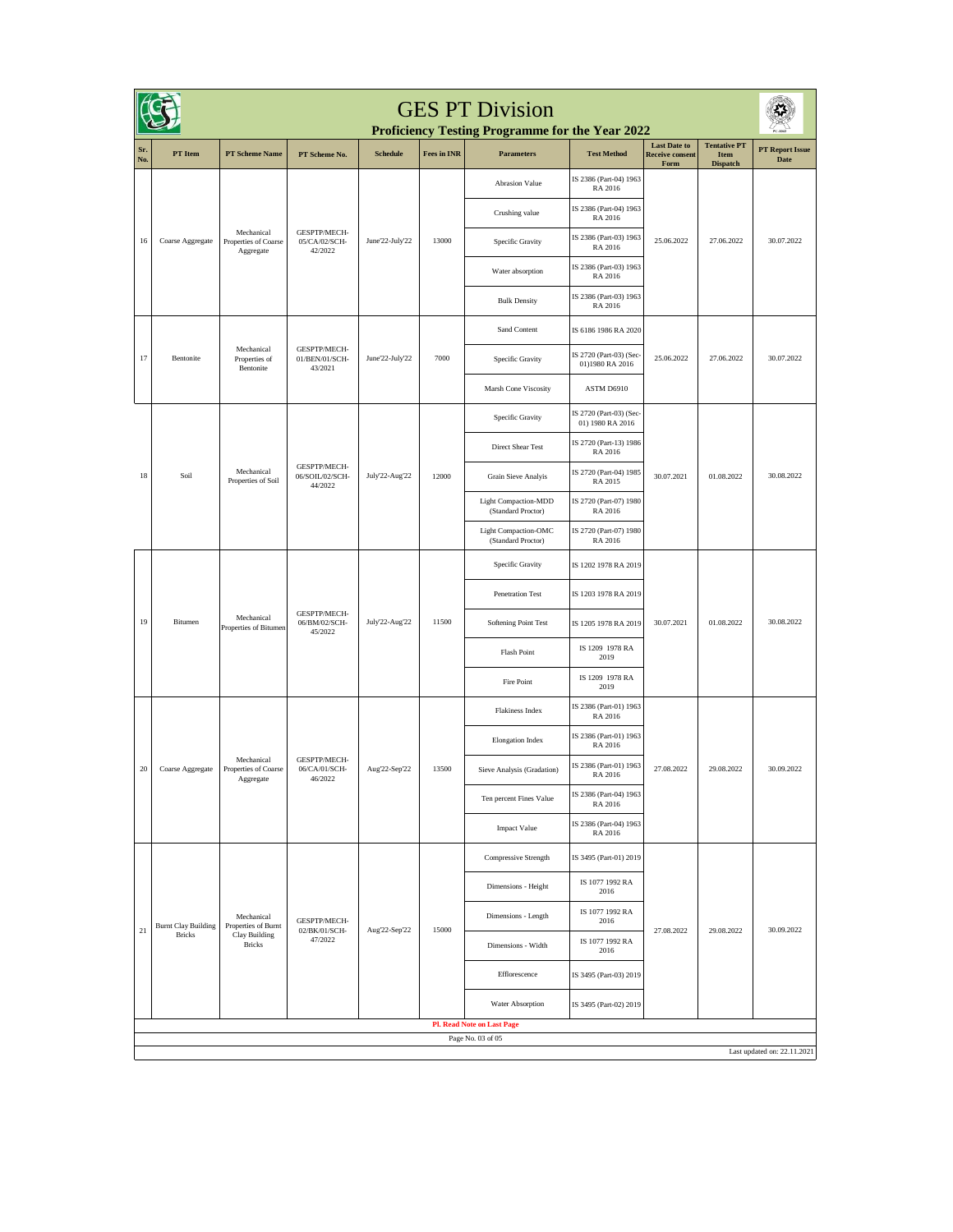| <b>GES PT Division</b><br>Proficiency Testing Programme for the Year 2022 |                                                  |                                                                                      |                                            |                          |                               |                                                   |                                             |                                                       |                                                |                                |            |
|---------------------------------------------------------------------------|--------------------------------------------------|--------------------------------------------------------------------------------------|--------------------------------------------|--------------------------|-------------------------------|---------------------------------------------------|---------------------------------------------|-------------------------------------------------------|------------------------------------------------|--------------------------------|------------|
| Sr.<br>No.                                                                | PT Item                                          | <b>PT Scheme Name</b>                                                                | PT Scheme No.                              | <b>Schedule</b>          | <b>Fees in INR</b>            | <b>Parameters</b>                                 | <b>Test Method</b>                          | <b>Last Date to</b><br><b>Receive consent</b><br>Form | <b>Tentative PT</b><br>Item<br><b>Dispatch</b> | <b>PT Report Issue</b><br>Date |            |
|                                                                           |                                                  |                                                                                      |                                            |                          |                               | <b>Abrasion Value</b>                             | IS 2386 (Part-04) 1963<br>RA 2016           |                                                       |                                                | 30.07.2022                     |            |
|                                                                           | Coarse Aggregate                                 |                                                                                      | GESPTP/MECH-<br>05/CA/02/SCH-<br>42/2022   | June'22-July'22          | 13000                         | Crushing value                                    | IS 2386 (Part-04) 1963<br>RA 2016           | 25.06.2022                                            | 27.06.2022                                     |                                |            |
| 16                                                                        |                                                  | Mechanical<br>Properties of Coarse<br>$\label{eq:aggegate} \operatorname{Aggregate}$ |                                            |                          |                               | Specific Gravity                                  | IS 2386 (Part-03) 1963<br>RA 2016           |                                                       |                                                |                                |            |
|                                                                           |                                                  |                                                                                      |                                            |                          |                               | Water absorption                                  | IS 2386 (Part-03) 1963<br>RA 2016           |                                                       |                                                |                                |            |
|                                                                           |                                                  |                                                                                      |                                            |                          |                               | <b>Bulk Density</b>                               | IS 2386 (Part-03) 1963<br>RA 2016           |                                                       |                                                |                                |            |
|                                                                           |                                                  |                                                                                      |                                            |                          |                               | Sand Content                                      | IS 6186 1986 RA 2020                        |                                                       |                                                |                                |            |
| 17                                                                        | Bentonite                                        | Mechanical<br>Properties of<br>Bentonite                                             | GESPTP/MECH-<br>01/BEN/01/SCH-<br>43/2021  | June'22-July'22          | 7000                          | Specific Gravity                                  | IS 2720 (Part-03) (Sec-<br>01)1980 RA 2016  | 25.06.2022                                            | 27.06.2022                                     | 30.07.2022                     |            |
|                                                                           |                                                  |                                                                                      |                                            |                          |                               | Marsh Cone Viscosity                              | ASTM D6910                                  |                                                       |                                                |                                |            |
|                                                                           |                                                  |                                                                                      |                                            |                          |                               | Specific Gravity                                  | IS 2720 (Part-03) (Sec-<br>01) 1980 RA 2016 |                                                       | 01.08.2022                                     | 30.08.2022                     |            |
|                                                                           | Soil                                             |                                                                                      |                                            |                          |                               | <b>Direct Shear Test</b>                          | IS 2720 (Part-13) 1986<br>RA 2016           | 30.07.2021                                            |                                                |                                |            |
| 18                                                                        |                                                  | Mechanical<br>Properties of Soil                                                     | GESPTP/MECH-<br>06/SOIL/02/SCH-<br>44/2022 | July'22-Aug'22           | 12000                         | Grain Sieve Analyis                               | IS 2720 (Part-04) 1985<br>RA 2015           |                                                       |                                                |                                |            |
|                                                                           |                                                  |                                                                                      |                                            |                          |                               | <b>Light Compaction-MDD</b><br>(Standard Proctor) | IS 2720 (Part-07) 1980<br>RA 2016           |                                                       |                                                |                                |            |
|                                                                           |                                                  |                                                                                      |                                            |                          |                               | Light Compaction-OMC<br>(Standard Proctor)        | IS 2720 (Part-07) 1980<br>RA 2016           |                                                       |                                                |                                |            |
|                                                                           | Bitumen                                          | Mechanical<br>Properties of Bitumen                                                  | GESPTP/MECH-<br>06/BM/02/SCH-<br>45/2022   | July'22-Aug'22           | 11500                         | Specific Gravity                                  | IS 1202 1978 RA 2019                        | 30.07.2021                                            | 01.08.2022                                     | 30.08.2022                     |            |
|                                                                           |                                                  |                                                                                      |                                            |                          |                               | <b>Penetration Test</b>                           | IS 1203 1978 RA 2019                        |                                                       |                                                |                                |            |
| 19                                                                        |                                                  |                                                                                      |                                            |                          |                               | Softening Point Test                              | IS 1205 1978 RA 2019                        |                                                       |                                                |                                |            |
|                                                                           |                                                  |                                                                                      |                                            |                          |                               | <b>Flash Point</b>                                | IS 1209 1978 RA<br>2019                     |                                                       |                                                |                                |            |
|                                                                           |                                                  |                                                                                      |                                            |                          |                               | Fire Point                                        | IS 1209 1978 RA<br>2019                     |                                                       |                                                |                                |            |
|                                                                           |                                                  |                                                                                      |                                            |                          |                               | Flakiness Index                                   | IS 2386 (Part-01) 1963<br>RA 2016           |                                                       |                                                |                                |            |
|                                                                           |                                                  | Mechanical<br>Properties of Coarse<br>Aggregate                                      |                                            |                          |                               | <b>Elongation Index</b>                           | IS 2386 (Part-01) 1963<br>RA 2016           |                                                       |                                                |                                |            |
| 20                                                                        | Coarse Aggregate                                 |                                                                                      |                                            | 06/CA/01/SCH-<br>46/2022 | GESPTP/MECH-<br>Aug'22-Sep'22 | 13500                                             | Sieve Analysis (Gradation)                  | IS 2386 (Part-01) 1963<br>RA 2016                     | 27.08.2022                                     | 29.08.2022                     | 30.09.2022 |
|                                                                           |                                                  |                                                                                      |                                            |                          |                               | Ten percent Fines Value                           | IS 2386 (Part-04) 1963<br>RA 2016           |                                                       |                                                |                                |            |
|                                                                           |                                                  |                                                                                      |                                            |                          |                               | <b>Impact Value</b>                               | IS 2386 (Part-04) 1963<br>RA 2016           |                                                       |                                                |                                |            |
|                                                                           |                                                  | Mechanical<br>Properties of Burnt<br>Clay Building<br><b>Bricks</b>                  | GESPTP/MECH-<br>02/BK/01/SCH-<br>47/2022   |                          | 15000                         | Compressive Strength                              | IS 3495 (Part-01) 2019                      |                                                       | 29.08.2022                                     | 30.09.2022                     |            |
|                                                                           |                                                  |                                                                                      |                                            | Aug'22-Sep'22            |                               | Dimensions - Height                               | IS 1077 1992 RA<br>2016                     |                                                       |                                                |                                |            |
| 21                                                                        | <b>Burnt Clay Building</b><br><b>Bricks</b>      |                                                                                      |                                            |                          |                               | Dimensions - Length                               | IS 1077 1992 RA<br>2016                     | 27.08.2022                                            |                                                |                                |            |
|                                                                           |                                                  |                                                                                      |                                            |                          |                               | Dimensions - Width                                | IS 1077 1992 RA<br>2016                     |                                                       |                                                |                                |            |
|                                                                           |                                                  |                                                                                      |                                            |                          |                               | Efflorescence                                     | IS 3495 (Part-03) 2019                      |                                                       |                                                |                                |            |
|                                                                           |                                                  |                                                                                      |                                            |                          |                               | Water Absorption                                  | IS 3495 (Part-02) 2019                      |                                                       |                                                |                                |            |
|                                                                           |                                                  |                                                                                      |                                            |                          |                               | <b>Pl. Read Note on Last Page</b>                 |                                             |                                                       |                                                |                                |            |
|                                                                           | Page No. 03 of 05<br>Last updated on: 22.11.2021 |                                                                                      |                                            |                          |                               |                                                   |                                             |                                                       |                                                |                                |            |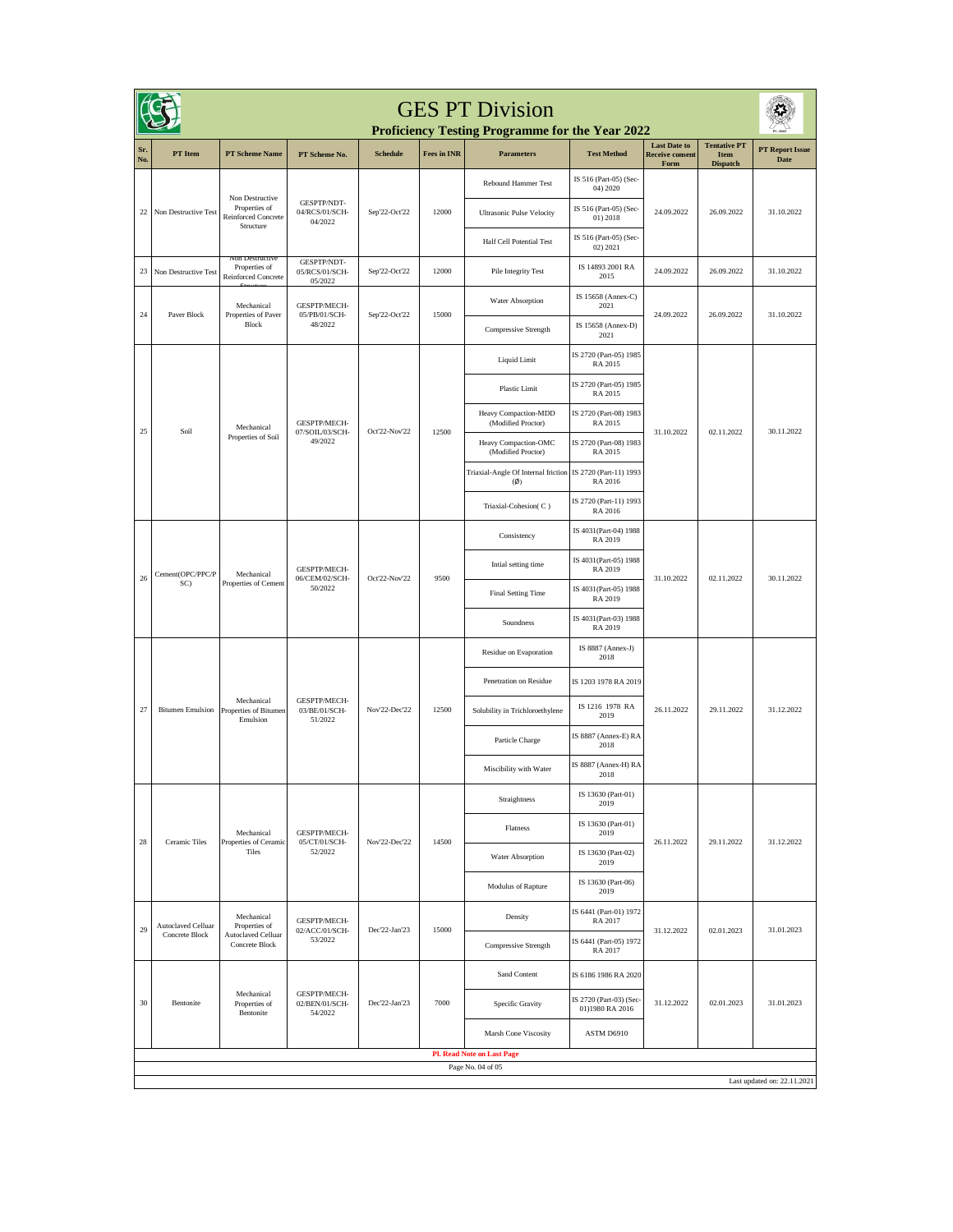| <b>GES PT Division</b><br><b>Proficiency Testing Programme for the Year 2022</b> |                                      |                                                                     |                                           |                 |                    |                                                 |                                            |                                                       |                                                |                                |
|----------------------------------------------------------------------------------|--------------------------------------|---------------------------------------------------------------------|-------------------------------------------|-----------------|--------------------|-------------------------------------------------|--------------------------------------------|-------------------------------------------------------|------------------------------------------------|--------------------------------|
| Sr.<br>No.                                                                       | PT Item                              | <b>PT Scheme Name</b>                                               | PT Scheme No.                             | <b>Schedule</b> | <b>Fees in INR</b> | <b>Parameters</b>                               | <b>Test Method</b>                         | <b>Last Date to</b><br><b>Receive consent</b><br>Form | <b>Tentative PT</b><br>Item<br><b>Dispatch</b> | <b>PT Report Issue</b><br>Date |
|                                                                                  |                                      |                                                                     |                                           |                 |                    | Rebound Hammer Test                             | IS 516 (Part-05) (Sec-<br>04) 2020         |                                                       |                                                |                                |
| 22                                                                               | Non Destructive Test                 | Non Destructive<br>Properties of<br>Reinforced Concrete             | GESPTP/NDT-<br>04/RCS/01/SCH-<br>04/2022  | Sep'22-Oct'22   | 12000              | <b>Ultrasonic Pulse Velocity</b>                | IS 516 (Part-05) (Sec-<br>01) 2018         | 24.09.2022                                            | 26.09.2022                                     | 31.10.2022                     |
|                                                                                  |                                      | Structure                                                           |                                           |                 |                    | <b>Half Cell Potential Test</b>                 | IS 516 (Part-05) (Sec-<br>02) 2021         |                                                       |                                                |                                |
| 23                                                                               | Non Destructive Test                 | Non Destructive<br>Properties of<br>Reinforced Concrete             | GESPTP/NDT-<br>05/RCS/01/SCH-<br>05/2022  | Sep'22-Oct'22   | 12000              | Pile Integrity Test                             | IS 14893 2001 RA<br>2015                   | 24.09.2022                                            | 26.09.2022                                     | 31.10.2022                     |
|                                                                                  |                                      | Mechanical                                                          | GESPTP/MECH-                              |                 |                    | Water Absorption                                | IS 15658 (Annex-C)<br>2021                 |                                                       | 26.09.2022                                     |                                |
| 24                                                                               | Paver Block                          | Properties of Paver<br>Block                                        | 05/PB/01/SCH-<br>48/2022                  | Sep'22-Oct'22   | 15000              | <b>Compressive Strength</b>                     | IS 15658 (Annex-D)<br>2021                 | 24.09.2022                                            |                                                | 31.10.2022                     |
|                                                                                  |                                      |                                                                     |                                           |                 |                    | <b>Liquid Limit</b>                             | IS 2720 (Part-05) 1985<br>RA 2015          |                                                       |                                                |                                |
|                                                                                  |                                      |                                                                     |                                           |                 |                    | <b>Plastic Limit</b>                            | IS 2720 (Part-05) 1985<br>RA 2015          |                                                       |                                                |                                |
|                                                                                  |                                      | Mechanical                                                          | GESPTP/MECH-                              |                 |                    | Heavy Compaction-MDD<br>(Modified Proctor)      | IS 2720 (Part-08) 1983<br>RA 2015          |                                                       | 02.11.2022                                     | 30.11.2022                     |
| 25                                                                               | Soil                                 | Properties of Soil                                                  | 07/SOIL/03/SCH-<br>49/2022                | Oct'22-Nov'22   | 12500              | Heavy Compaction-OMC<br>(Modified Proctor)      | IS 2720 (Part-08) 1983<br>RA 2015          | 31.10.2022                                            |                                                |                                |
|                                                                                  |                                      |                                                                     |                                           |                 |                    | Triaxial-Angle Of Internal friction<br>$(\phi)$ | IS 2720 (Part-11) 1993<br>RA 2016          |                                                       |                                                |                                |
|                                                                                  |                                      |                                                                     |                                           |                 |                    | Triaxial-Cohesion(C)                            | IS 2720 (Part-11) 1993<br>RA 2016          |                                                       |                                                |                                |
|                                                                                  | Cement(OPC/PPC/P<br>SC)              | Mechanical<br>Properties of Cement                                  | GESPTP/MECH-<br>06/CEM/02/SCH-<br>50/2022 | Oct'22-Nov'22   | 9500               | Consistency                                     | IS 4031(Part-04) 1988<br>RA 2019           | 31.10.2022                                            | 02.11.2022                                     | 30.11.2022                     |
|                                                                                  |                                      |                                                                     |                                           |                 |                    | Intial setting time                             | IS 4031(Part-05) 1988<br>RA 2019           |                                                       |                                                |                                |
| 26                                                                               |                                      |                                                                     |                                           |                 |                    | Final Setting Time                              | IS 4031(Part-05) 1988<br>RA 2019           |                                                       |                                                |                                |
|                                                                                  |                                      |                                                                     |                                           |                 |                    | Soundness                                       | IS 4031(Part-03) 1988<br>RA 2019           |                                                       |                                                |                                |
|                                                                                  | <b>Bitumen Emulsion</b>              | Mechanical<br>Properties of Bitumen<br>Emulsion                     | GESPTP/MECH-<br>03/BE/01/SCH-<br>51/2022  | Nov'22-Dec'22   | 12500              | Residue on Evaporation                          | IS 8887 (Annex-J)<br>2018                  | 26.11.2022                                            | 29.11.2022                                     | 31.12.2022                     |
|                                                                                  |                                      |                                                                     |                                           |                 |                    | Penetration on Residue                          | IS 1203 1978 RA 2019                       |                                                       |                                                |                                |
| 27                                                                               |                                      |                                                                     |                                           |                 |                    | Solubility in Trichloroethylene                 | IS 1216 1978 RA<br>2019                    |                                                       |                                                |                                |
|                                                                                  |                                      |                                                                     |                                           |                 |                    | Particle Charge                                 | IS 8887 (Annex-E) RA<br>2018               |                                                       |                                                |                                |
|                                                                                  |                                      |                                                                     |                                           |                 |                    | Miscibility with Water                          | IS 8887 (Annex-H) RA<br>2018               |                                                       |                                                |                                |
|                                                                                  |                                      | Mechanical<br>Properties of Ceramic<br>Tiles                        |                                           | Nov'22-Dec'22   | 14500              | Straightness                                    | IS 13630 (Part-01)<br>2019                 |                                                       | 29.11.2022                                     | 31.12.2022                     |
|                                                                                  |                                      |                                                                     | GESPTP/MECH-<br>05/CT/01/SCH-<br>52/2022  |                 |                    | Flatness                                        | IS 13630 (Part-01)<br>2019                 | 26.11.2022                                            |                                                |                                |
| 28                                                                               | Ceramic Tiles                        |                                                                     |                                           |                 |                    | Water Absorption                                | IS 13630 (Part-02)<br>2019                 |                                                       |                                                |                                |
|                                                                                  |                                      |                                                                     |                                           |                 |                    | Modulus of Rapture                              | IS 13630 (Part-06)<br>2019                 |                                                       |                                                |                                |
| 29                                                                               | Autoclaved Celluar<br>Concrete Block | Mechanical<br>Properties of<br>Autoclaved Celluar<br>Concrete Block | GESPTP/MECH-<br>02/ACC/01/SCH-<br>53/2022 | Dec'22-Jan'23   | 15000              | Density                                         | IS 6441 (Part-01) 1972<br>RA 2017          |                                                       |                                                | 31.01.2023                     |
|                                                                                  |                                      |                                                                     |                                           |                 |                    | Compressive Strength                            | IS 6441 (Part-05) 1972<br>RA 2017          | 31.12.2022                                            | 02.01.2023                                     |                                |
|                                                                                  | Bentonite                            | Mechanical<br>Properties of<br>Bentonite                            | GESPTP/MECH-<br>02/BEN/01/SCH-<br>54/2022 | Dec'22-Jan'23   | 7000               | Sand Content                                    | IS 6186 1986 RA 2020                       | 31.12.2022                                            | 02.01.2023                                     | 31.01.2023                     |
| 30                                                                               |                                      |                                                                     |                                           |                 |                    | Specific Gravity                                | IS 2720 (Part-03) (Sec-<br>01)1980 RA 2016 |                                                       |                                                |                                |
|                                                                                  |                                      |                                                                     |                                           |                 |                    | Marsh Cone Viscosity                            | ASTM D6910                                 |                                                       |                                                |                                |
| <b>Pl. Read Note on Last Page</b>                                                |                                      |                                                                     |                                           |                 |                    |                                                 |                                            |                                                       |                                                |                                |
| Page No. 04 of 05<br>Last updated on: 22.11.2021                                 |                                      |                                                                     |                                           |                 |                    |                                                 |                                            |                                                       |                                                |                                |